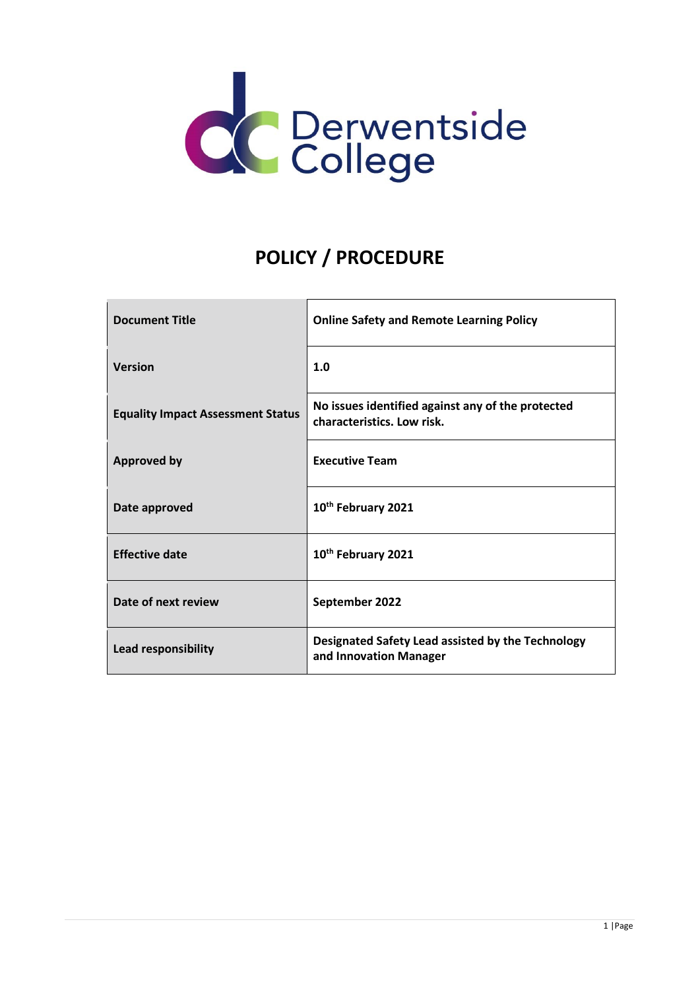

# **POLICY / PROCEDURE**

| <b>Document Title</b>                    | <b>Online Safety and Remote Learning Policy</b>                                 |
|------------------------------------------|---------------------------------------------------------------------------------|
| <b>Version</b>                           | 1.0                                                                             |
| <b>Equality Impact Assessment Status</b> | No issues identified against any of the protected<br>characteristics. Low risk. |
| <b>Approved by</b>                       | <b>Executive Team</b>                                                           |
| Date approved                            | 10 <sup>th</sup> February 2021                                                  |
| <b>Effective date</b>                    | 10 <sup>th</sup> February 2021                                                  |
| Date of next review                      | September 2022                                                                  |
| Lead responsibility                      | Designated Safety Lead assisted by the Technology<br>and Innovation Manager     |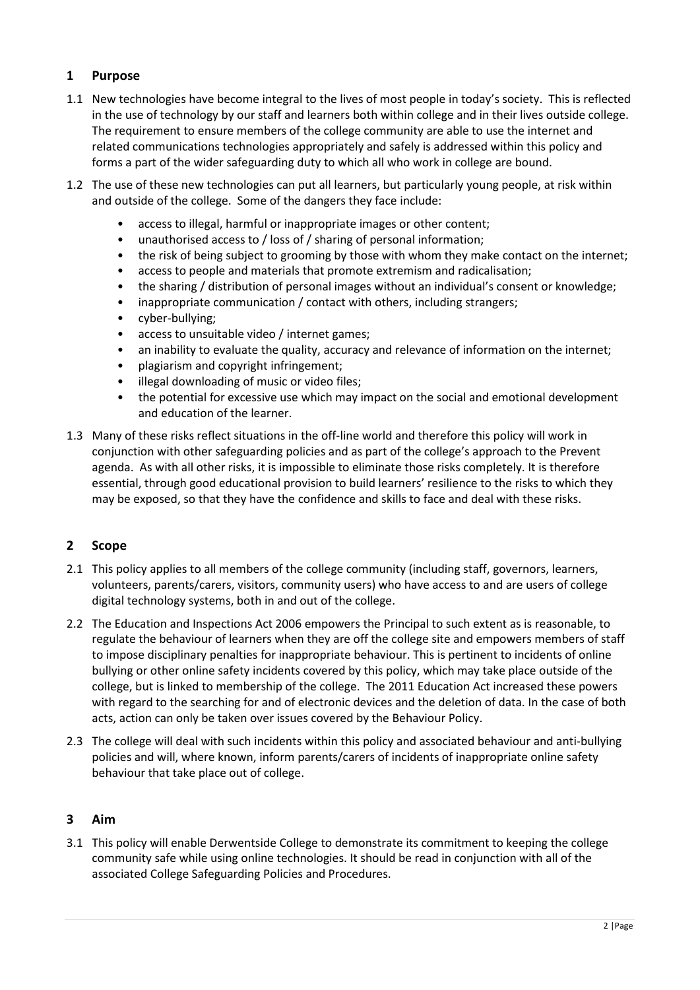# **1 Purpose**

- 1.1 New technologies have become integral to the lives of most people in today's society. This is reflected in the use of technology by our staff and learners both within college and in their lives outside college. The requirement to ensure members of the college community are able to use the internet and related communications technologies appropriately and safely is addressed within this policy and forms a part of the wider safeguarding duty to which all who work in college are bound.
- 1.2 The use of these new technologies can put all learners, but particularly young people, at risk within and outside of the college. Some of the dangers they face include:
	- access to illegal, harmful or inappropriate images or other content;
	- unauthorised access to / loss of / sharing of personal information;
	- the risk of being subject to grooming by those with whom they make contact on the internet;
	- access to people and materials that promote extremism and radicalisation;
	- the sharing / distribution of personal images without an individual's consent or knowledge;
	- inappropriate communication / contact with others, including strangers;
	- cyber-bullying;
	- access to unsuitable video / internet games;
	- an inability to evaluate the quality, accuracy and relevance of information on the internet;
	- plagiarism and copyright infringement;
	- illegal downloading of music or video files;
	- the potential for excessive use which may impact on the social and emotional development and education of the learner.
- 1.3 Many of these risks reflect situations in the off-line world and therefore this policy will work in conjunction with other safeguarding policies and as part of the college's approach to the Prevent agenda. As with all other risks, it is impossible to eliminate those risks completely. It is therefore essential, through good educational provision to build learners' resilience to the risks to which they may be exposed, so that they have the confidence and skills to face and deal with these risks.

# **2 Scope**

- 2.1 This policy applies to all members of the college community (including staff, governors, learners, volunteers, parents/carers, visitors, community users) who have access to and are users of college digital technology systems, both in and out of the college.
- 2.2 The Education and Inspections Act 2006 empowers the Principal to such extent as is reasonable, to regulate the behaviour of learners when they are off the college site and empowers members of staff to impose disciplinary penalties for inappropriate behaviour. This is pertinent to incidents of online bullying or other online safety incidents covered by this policy, which may take place outside of the college, but is linked to membership of the college. The 2011 Education Act increased these powers with regard to the searching for and of electronic devices and the deletion of data. In the case of both acts, action can only be taken over issues covered by the Behaviour Policy.
- 2.3 The college will deal with such incidents within this policy and associated behaviour and anti-bullying policies and will, where known, inform parents/carers of incidents of inappropriate online safety behaviour that take place out of college.

# **3 Aim**

3.1 This policy will enable Derwentside College to demonstrate its commitment to keeping the college community safe while using online technologies. It should be read in conjunction with all of the associated College Safeguarding Policies and Procedures.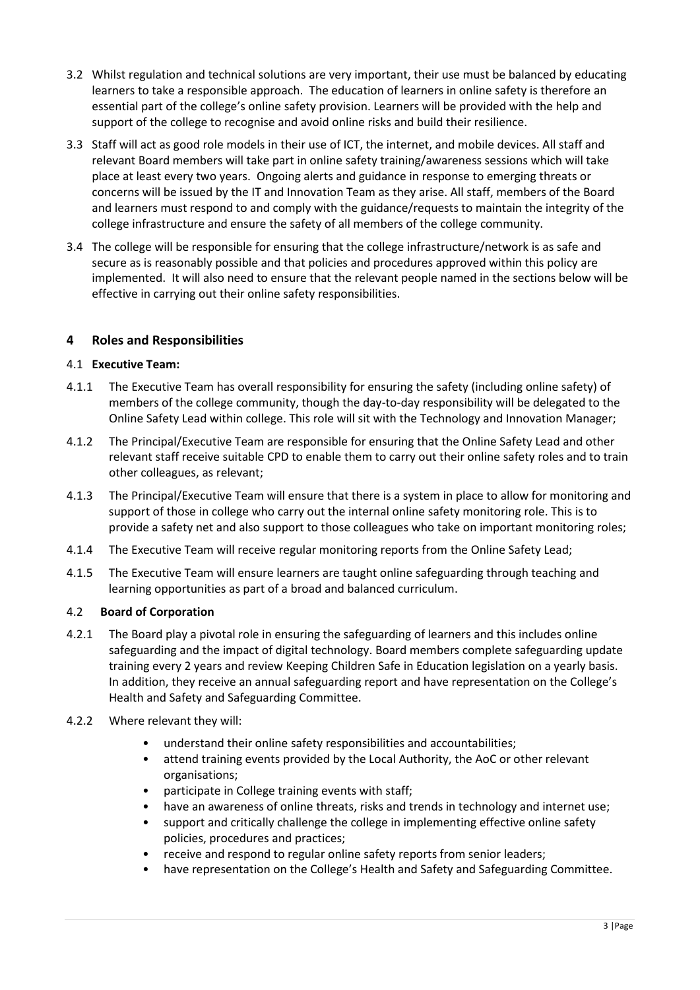- 3.2 Whilst regulation and technical solutions are very important, their use must be balanced by educating learners to take a responsible approach. The education of learners in online safety is therefore an essential part of the college's online safety provision. Learners will be provided with the help and support of the college to recognise and avoid online risks and build their resilience.
- 3.3 Staff will act as good role models in their use of ICT, the internet, and mobile devices. All staff and relevant Board members will take part in online safety training/awareness sessions which will take place at least every two years. Ongoing alerts and guidance in response to emerging threats or concerns will be issued by the IT and Innovation Team as they arise. All staff, members of the Board and learners must respond to and comply with the guidance/requests to maintain the integrity of the college infrastructure and ensure the safety of all members of the college community.
- 3.4 The college will be responsible for ensuring that the college infrastructure/network is as safe and secure as is reasonably possible and that policies and procedures approved within this policy are implemented. It will also need to ensure that the relevant people named in the sections below will be effective in carrying out their online safety responsibilities.

# **4 Roles and Responsibilities**

#### 4.1 **Executive Team:**

- 4.1.1 The Executive Team has overall responsibility for ensuring the safety (including online safety) of members of the college community, though the day-to-day responsibility will be delegated to the Online Safety Lead within college. This role will sit with the Technology and Innovation Manager;
- 4.1.2 The Principal/Executive Team are responsible for ensuring that the Online Safety Lead and other relevant staff receive suitable CPD to enable them to carry out their online safety roles and to train other colleagues, as relevant;
- 4.1.3 The Principal/Executive Team will ensure that there is a system in place to allow for monitoring and support of those in college who carry out the internal online safety monitoring role. This is to provide a safety net and also support to those colleagues who take on important monitoring roles;
- 4.1.4 The Executive Team will receive regular monitoring reports from the Online Safety Lead;
- 4.1.5 The Executive Team will ensure learners are taught online safeguarding through teaching and learning opportunities as part of a broad and balanced curriculum.

#### 4.2 **Board of Corporation**

- 4.2.1 The Board play a pivotal role in ensuring the safeguarding of learners and this includes online safeguarding and the impact of digital technology. Board members complete safeguarding update training every 2 years and review Keeping Children Safe in Education legislation on a yearly basis. In addition, they receive an annual safeguarding report and have representation on the College's Health and Safety and Safeguarding Committee.
- 4.2.2 Where relevant they will:
	- understand their online safety responsibilities and accountabilities;
	- attend training events provided by the Local Authority, the AoC or other relevant organisations;
	- participate in College training events with staff;
	- have an awareness of online threats, risks and trends in technology and internet use;
	- support and critically challenge the college in implementing effective online safety policies, procedures and practices;
	- receive and respond to regular online safety reports from senior leaders;
	- have representation on the College's Health and Safety and Safeguarding Committee.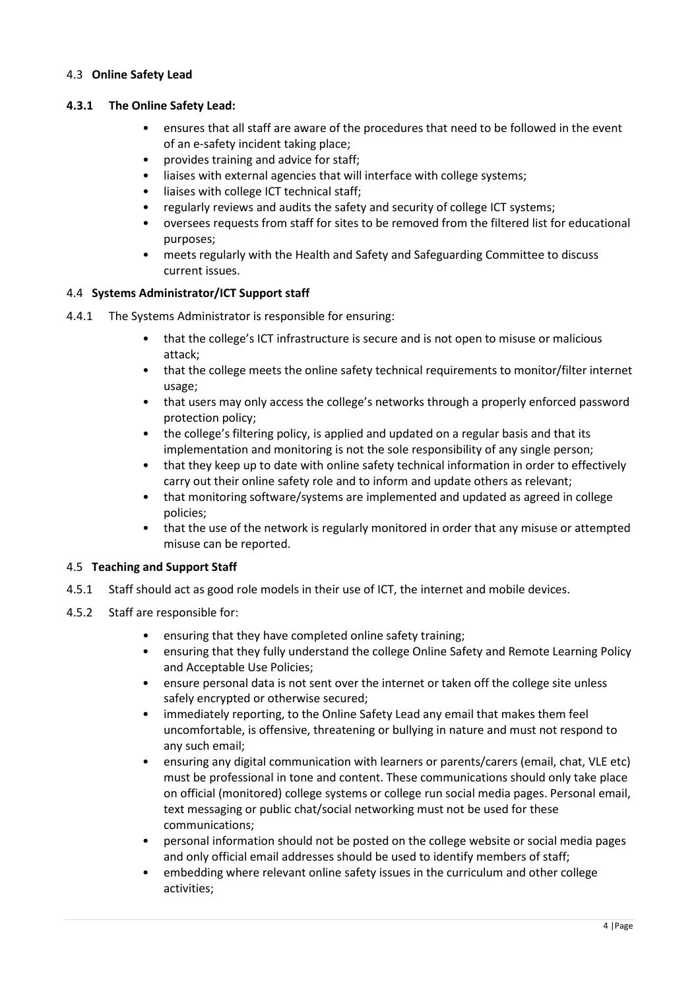#### 4.3 **Online Safety Lead**

#### **4.3.1 The Online Safety Lead:**

- ensures that all staff are aware of the procedures that need to be followed in the event of an e-safety incident taking place;
- provides training and advice for staff;
- liaises with external agencies that will interface with college systems;
- liaises with college ICT technical staff;
- regularly reviews and audits the safety and security of college ICT systems;
- oversees requests from staff for sites to be removed from the filtered list for educational purposes;
- meets regularly with the Health and Safety and Safeguarding Committee to discuss current issues.

#### 4.4 **Systems Administrator/ICT Support staff**

- 4.4.1 The Systems Administrator is responsible for ensuring:
	- that the college's ICT infrastructure is secure and is not open to misuse or malicious attack;
	- that the college meets the online safety technical requirements to monitor/filter internet usage;
	- that users may only access the college's networks through a properly enforced password protection policy;
	- the college's filtering policy, is applied and updated on a regular basis and that its implementation and monitoring is not the sole responsibility of any single person;
	- that they keep up to date with online safety technical information in order to effectively carry out their online safety role and to inform and update others as relevant;
	- that monitoring software/systems are implemented and updated as agreed in college policies;
	- that the use of the network is regularly monitored in order that any misuse or attempted misuse can be reported.

# 4.5 **Teaching and Support Staff**

- 4.5.1 Staff should act as good role models in their use of ICT, the internet and mobile devices.
- 4.5.2 Staff are responsible for:
	- ensuring that they have completed online safety training;
	- ensuring that they fully understand the college Online Safety and Remote Learning Policy and Acceptable Use Policies;
	- ensure personal data is not sent over the internet or taken off the college site unless safely encrypted or otherwise secured;
	- immediately reporting, to the Online Safety Lead any email that makes them feel uncomfortable, is offensive, threatening or bullying in nature and must not respond to any such email;
	- ensuring any digital communication with learners or parents/carers (email, chat, VLE etc) must be professional in tone and content. These communications should only take place on official (monitored) college systems or college run social media pages. Personal email, text messaging or public chat/social networking must not be used for these communications;
	- personal information should not be posted on the college website or social media pages and only official email addresses should be used to identify members of staff;
	- embedding where relevant online safety issues in the curriculum and other college activities;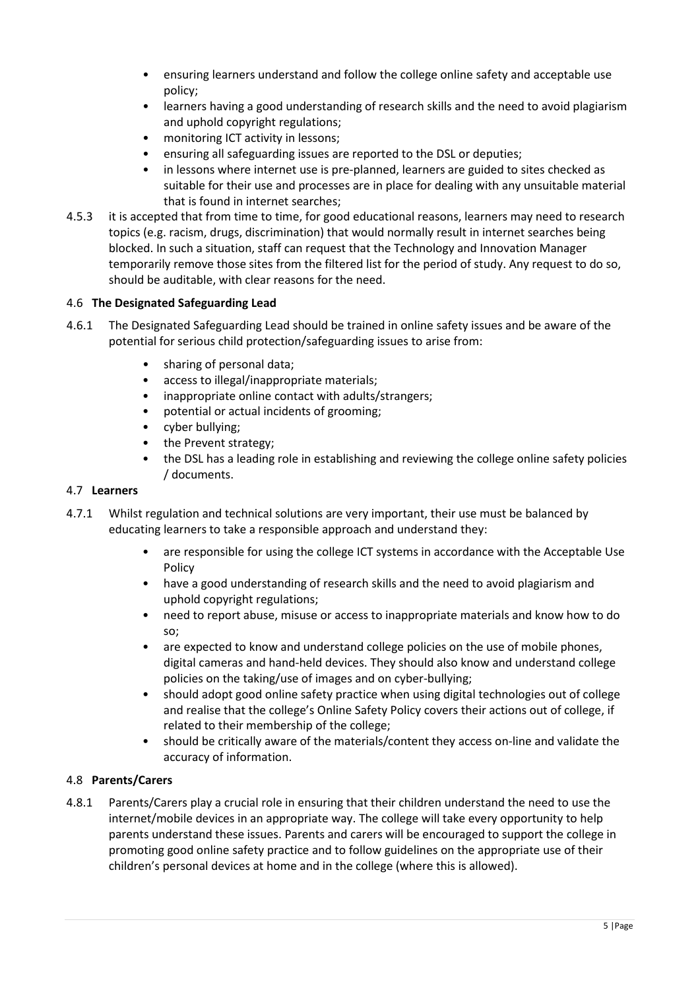- ensuring learners understand and follow the college online safety and acceptable use policy;
- learners having a good understanding of research skills and the need to avoid plagiarism and uphold copyright regulations;
- monitoring ICT activity in lessons;
- ensuring all safeguarding issues are reported to the DSL or deputies;
- in lessons where internet use is pre-planned, learners are guided to sites checked as suitable for their use and processes are in place for dealing with any unsuitable material that is found in internet searches;
- 4.5.3 it is accepted that from time to time, for good educational reasons, learners may need to research topics (e.g. racism, drugs, discrimination) that would normally result in internet searches being blocked. In such a situation, staff can request that the Technology and Innovation Manager temporarily remove those sites from the filtered list for the period of study. Any request to do so, should be auditable, with clear reasons for the need.

# 4.6 **The Designated Safeguarding Lead**

- 4.6.1 The Designated Safeguarding Lead should be trained in online safety issues and be aware of the potential for serious child protection/safeguarding issues to arise from:
	- sharing of personal data;
	- access to illegal/inappropriate materials;
	- inappropriate online contact with adults/strangers;
	- potential or actual incidents of grooming;
	- cyber bullying;
	- the Prevent strategy;
	- the DSL has a leading role in establishing and reviewing the college online safety policies / documents.

#### 4.7 **Learners**

- 4.7.1 Whilst regulation and technical solutions are very important, their use must be balanced by educating learners to take a responsible approach and understand they:
	- are responsible for using the college ICT systems in accordance with the Acceptable Use Policy
	- have a good understanding of research skills and the need to avoid plagiarism and uphold copyright regulations;
	- need to report abuse, misuse or access to inappropriate materials and know how to do so;
	- are expected to know and understand college policies on the use of mobile phones, digital cameras and hand-held devices. They should also know and understand college policies on the taking/use of images and on cyber-bullying;
	- should adopt good online safety practice when using digital technologies out of college and realise that the college's Online Safety Policy covers their actions out of college, if related to their membership of the college;
	- should be critically aware of the materials/content they access on-line and validate the accuracy of information.

# 4.8 **Parents/Carers**

4.8.1 Parents/Carers play a crucial role in ensuring that their children understand the need to use the internet/mobile devices in an appropriate way. The college will take every opportunity to help parents understand these issues. Parents and carers will be encouraged to support the college in promoting good online safety practice and to follow guidelines on the appropriate use of their children's personal devices at home and in the college (where this is allowed).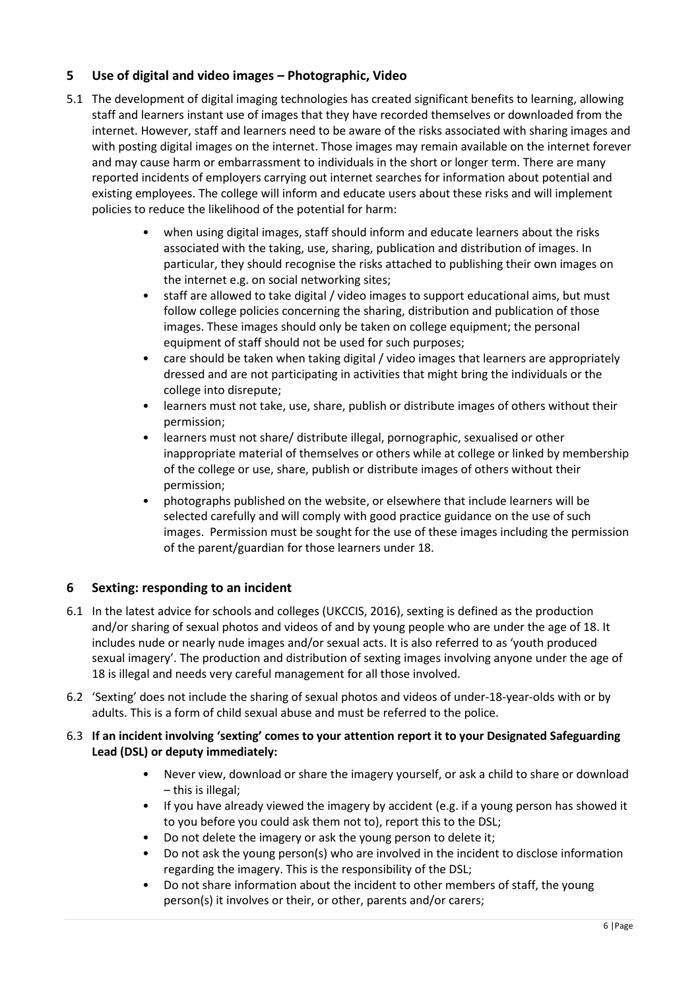# **5 Use of digital and video images – Photographic, Video**

- 5.1 The development of digital imaging technologies has created significant benefits to learning, allowing staff and learners instant use of images that they have recorded themselves or downloaded from the internet. However, staff and learners need to be aware of the risks associated with sharing images and with posting digital images on the internet. Those images may remain available on the internet forever and may cause harm or embarrassment to individuals in the short or longer term. There are many reported incidents of employers carrying out internet searches for information about potential and existing employees. The college will inform and educate users about these risks and will implement policies to reduce the likelihood of the potential for harm:
	- when using digital images, staff should inform and educate learners about the risks associated with the taking, use, sharing, publication and distribution of images. In particular, they should recognise the risks attached to publishing their own images on the internet e.g. on social networking sites;
	- staff are allowed to take digital / video images to support educational aims, but must follow college policies concerning the sharing, distribution and publication of those images. These images should only be taken on college equipment; the personal equipment of staff should not be used for such purposes;
	- care should be taken when taking digital / video images that learners are appropriately dressed and are not participating in activities that might bring the individuals or the college into disrepute;
	- learners must not take, use, share, publish or distribute images of others without their permission;
	- learners must not share/ distribute illegal, pornographic, sexualised or other inappropriate material of themselves or others while at college or linked by membership of the college or use, share, publish or distribute images of others without their permission;
	- photographs published on the website, or elsewhere that include learners will be selected carefully and will comply with good practice guidance on the use of such images. Permission must be sought for the use of these images including the permission of the parent/guardian for those learners under 18.

# **6 Sexting: responding to an incident**

- 6.1 In the latest advice for schools and colleges (UKCCIS, 2016), sexting is defined as the production and/or sharing of sexual photos and videos of and by young people who are under the age of 18. It includes nude or nearly nude images and/or sexual acts. It is also referred to as 'youth produced sexual imagery'. The production and distribution of sexting images involving anyone under the age of 18 is illegal and needs very careful management for all those involved.
- 6.2 'Sexting' does not include the sharing of sexual photos and videos of under-18-year-olds with or by adults. This is a form of child sexual abuse and must be referred to the police.

# 6.3 **If an incident involving 'sexting' comes to your attention report it to your Designated Safeguarding Lead (DSL) or deputy immediately:**

- Never view, download or share the imagery yourself, or ask a child to share or download – this is illegal;
- If you have already viewed the imagery by accident (e.g. if a young person has showed it to you before you could ask them not to), report this to the DSL;
- Do not delete the imagery or ask the young person to delete it;
- Do not ask the young person(s) who are involved in the incident to disclose information regarding the imagery. This is the responsibility of the DSL;
- Do not share information about the incident to other members of staff, the young person(s) it involves or their, or other, parents and/or carers;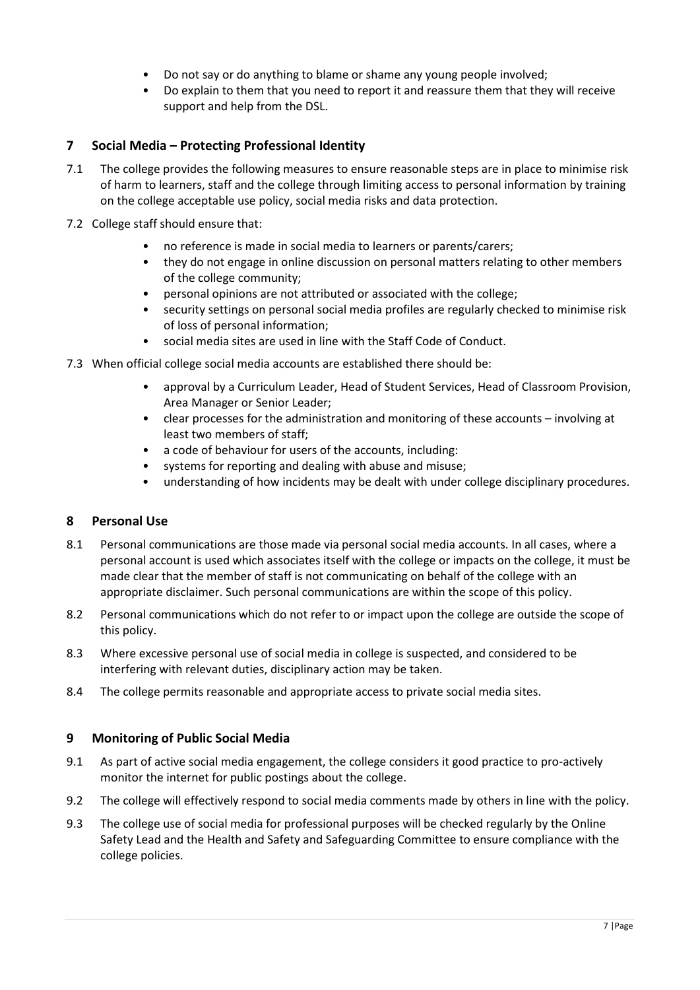- Do not say or do anything to blame or shame any young people involved;
- Do explain to them that you need to report it and reassure them that they will receive support and help from the DSL.

# **7 Social Media – Protecting Professional Identity**

- 7.1 The college provides the following measures to ensure reasonable steps are in place to minimise risk of harm to learners, staff and the college through limiting access to personal information by training on the college acceptable use policy, social media risks and data protection.
- 7.2 College staff should ensure that:
	- no reference is made in social media to learners or parents/carers;
	- they do not engage in online discussion on personal matters relating to other members of the college community;
	- personal opinions are not attributed or associated with the college;
	- security settings on personal social media profiles are regularly checked to minimise risk of loss of personal information;
	- social media sites are used in line with the Staff Code of Conduct.
- 7.3 When official college social media accounts are established there should be:
	- approval by a Curriculum Leader, Head of Student Services, Head of Classroom Provision, Area Manager or Senior Leader;
	- clear processes for the administration and monitoring of these accounts involving at least two members of staff;
	- a code of behaviour for users of the accounts, including:
	- systems for reporting and dealing with abuse and misuse;
	- understanding of how incidents may be dealt with under college disciplinary procedures.

# **8 Personal Use**

- 8.1 Personal communications are those made via personal social media accounts. In all cases, where a personal account is used which associates itself with the college or impacts on the college, it must be made clear that the member of staff is not communicating on behalf of the college with an appropriate disclaimer. Such personal communications are within the scope of this policy.
- 8.2 Personal communications which do not refer to or impact upon the college are outside the scope of this policy.
- 8.3 Where excessive personal use of social media in college is suspected, and considered to be interfering with relevant duties, disciplinary action may be taken.
- 8.4 The college permits reasonable and appropriate access to private social media sites.

# **9 Monitoring of Public Social Media**

- 9.1 As part of active social media engagement, the college considers it good practice to pro-actively monitor the internet for public postings about the college.
- 9.2 The college will effectively respond to social media comments made by others in line with the policy.
- 9.3 The college use of social media for professional purposes will be checked regularly by the Online Safety Lead and the Health and Safety and Safeguarding Committee to ensure compliance with the college policies.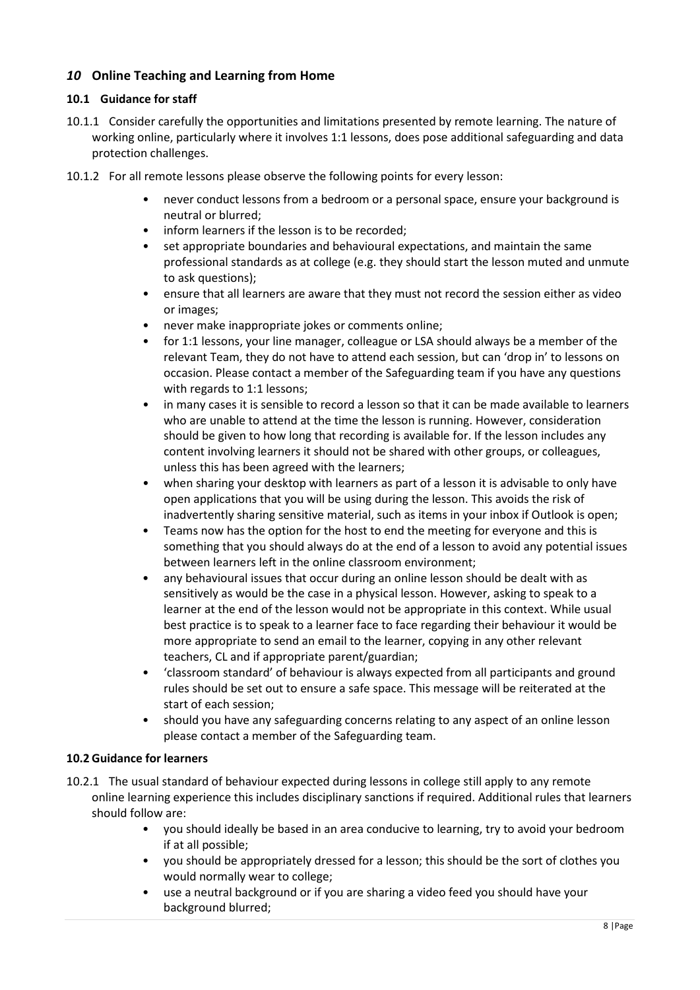# *10* **Online Teaching and Learning from Home**

#### **10.1 Guidance for staff**

- 10.1.1 Consider carefully the opportunities and limitations presented by remote learning. The nature of working online, particularly where it involves 1:1 lessons, does pose additional safeguarding and data protection challenges.
- 10.1.2 For all remote lessons please observe the following points for every lesson:
	- never conduct lessons from a bedroom or a personal space, ensure your background is neutral or blurred;
	- inform learners if the lesson is to be recorded;
	- set appropriate boundaries and behavioural expectations, and maintain the same professional standards as at college (e.g. they should start the lesson muted and unmute to ask questions);
	- ensure that all learners are aware that they must not record the session either as video or images;
	- never make inappropriate jokes or comments online;
	- for 1:1 lessons, your line manager, colleague or LSA should always be a member of the relevant Team, they do not have to attend each session, but can 'drop in' to lessons on occasion. Please contact a member of the Safeguarding team if you have any questions with regards to 1:1 lessons;
	- in many cases it is sensible to record a lesson so that it can be made available to learners who are unable to attend at the time the lesson is running. However, consideration should be given to how long that recording is available for. If the lesson includes any content involving learners it should not be shared with other groups, or colleagues, unless this has been agreed with the learners;
	- when sharing your desktop with learners as part of a lesson it is advisable to only have open applications that you will be using during the lesson. This avoids the risk of inadvertently sharing sensitive material, such as items in your inbox if Outlook is open;
	- Teams now has the option for the host to end the meeting for everyone and this is something that you should always do at the end of a lesson to avoid any potential issues between learners left in the online classroom environment;
	- any behavioural issues that occur during an online lesson should be dealt with as sensitively as would be the case in a physical lesson. However, asking to speak to a learner at the end of the lesson would not be appropriate in this context. While usual best practice is to speak to a learner face to face regarding their behaviour it would be more appropriate to send an email to the learner, copying in any other relevant teachers, CL and if appropriate parent/guardian;
	- 'classroom standard' of behaviour is always expected from all participants and ground rules should be set out to ensure a safe space. This message will be reiterated at the start of each session;
	- should you have any safeguarding concerns relating to any aspect of an online lesson please contact a member of the Safeguarding team.

#### **10.2 Guidance for learners**

- 10.2.1 The usual standard of behaviour expected during lessons in college still apply to any remote online learning experience this includes disciplinary sanctions if required. Additional rules that learners should follow are:
	- you should ideally be based in an area conducive to learning, try to avoid your bedroom if at all possible;
	- you should be appropriately dressed for a lesson; this should be the sort of clothes you would normally wear to college;
	- use a neutral background or if you are sharing a video feed you should have your background blurred;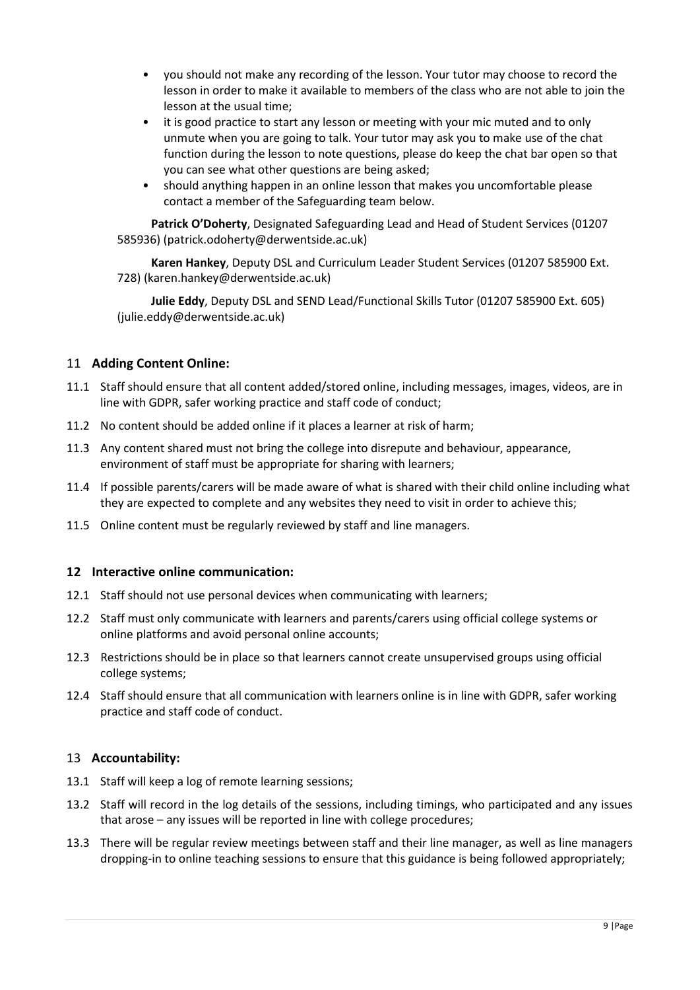- you should not make any recording of the lesson. Your tutor may choose to record the lesson in order to make it available to members of the class who are not able to join the lesson at the usual time;
- it is good practice to start any lesson or meeting with your mic muted and to only unmute when you are going to talk. Your tutor may ask you to make use of the chat function during the lesson to note questions, please do keep the chat bar open so that you can see what other questions are being asked;
- should anything happen in an online lesson that makes you uncomfortable please contact a member of the Safeguarding team below.

**Patrick O'Doherty**, Designated Safeguarding Lead and Head of Student Services (01207 585936) (patrick.odoherty@derwentside.ac.uk)

**Karen Hankey**, Deputy DSL and Curriculum Leader Student Services (01207 585900 Ext. 728) (karen.hankey@derwentside.ac.uk)

**Julie Eddy**, Deputy DSL and SEND Lead/Functional Skills Tutor (01207 585900 Ext. 605) (julie.eddy@derwentside.ac.uk)

# 11 **Adding Content Online:**

- 11.1 Staff should ensure that all content added/stored online, including messages, images, videos, are in line with GDPR, safer working practice and staff code of conduct;
- 11.2 No content should be added online if it places a learner at risk of harm;
- 11.3 Any content shared must not bring the college into disrepute and behaviour, appearance, environment of staff must be appropriate for sharing with learners;
- 11.4 If possible parents/carers will be made aware of what is shared with their child online including what they are expected to complete and any websites they need to visit in order to achieve this;
- 11.5 Online content must be regularly reviewed by staff and line managers.

#### **12 Interactive online communication:**

- 12.1 Staff should not use personal devices when communicating with learners;
- 12.2 Staff must only communicate with learners and parents/carers using official college systems or online platforms and avoid personal online accounts;
- 12.3 Restrictions should be in place so that learners cannot create unsupervised groups using official college systems;
- 12.4 Staff should ensure that all communication with learners online is in line with GDPR, safer working practice and staff code of conduct.

# 13 **Accountability:**

- 13.1 Staff will keep a log of remote learning sessions;
- 13.2 Staff will record in the log details of the sessions, including timings, who participated and any issues that arose – any issues will be reported in line with college procedures;
- 13.3 There will be regular review meetings between staff and their line manager, as well as line managers dropping-in to online teaching sessions to ensure that this guidance is being followed appropriately;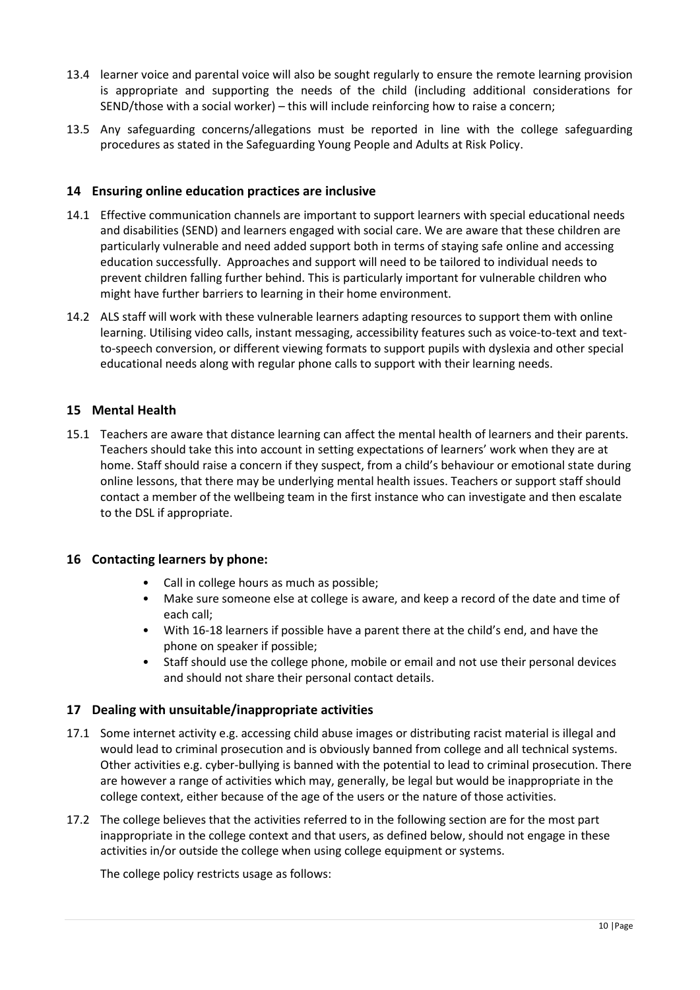- 13.4 learner voice and parental voice will also be sought regularly to ensure the remote learning provision is appropriate and supporting the needs of the child (including additional considerations for SEND/those with a social worker) – this will include reinforcing how to raise a concern;
- 13.5 Any safeguarding concerns/allegations must be reported in line with the college safeguarding procedures as stated in the Safeguarding Young People and Adults at Risk Policy.

# **14 Ensuring online education practices are inclusive**

- 14.1 Effective communication channels are important to support learners with special educational needs and disabilities (SEND) and learners engaged with social care. We are aware that these children are particularly vulnerable and need added support both in terms of staying safe online and accessing education successfully. Approaches and support will need to be tailored to individual needs to prevent children falling further behind. This is particularly important for vulnerable children who might have further barriers to learning in their home environment.
- 14.2 ALS staff will work with these vulnerable learners adapting resources to support them with online learning. Utilising video calls, instant messaging, accessibility features such as voice-to-text and textto-speech conversion, or different viewing formats to support pupils with dyslexia and other special educational needs along with regular phone calls to support with their learning needs.

# **15 Mental Health**

15.1 Teachers are aware that distance learning can affect the mental health of learners and their parents. Teachers should take this into account in setting expectations of learners' work when they are at home. Staff should raise a concern if they suspect, from a child's behaviour or emotional state during online lessons, that there may be underlying mental health issues. Teachers or support staff should contact a member of the wellbeing team in the first instance who can investigate and then escalate to the DSL if appropriate.

#### **16 Contacting learners by phone:**

- Call in college hours as much as possible;
- Make sure someone else at college is aware, and keep a record of the date and time of each call;
- With 16-18 learners if possible have a parent there at the child's end, and have the phone on speaker if possible;
- Staff should use the college phone, mobile or email and not use their personal devices and should not share their personal contact details.

# **17 Dealing with unsuitable/inappropriate activities**

- 17.1 Some internet activity e.g. accessing child abuse images or distributing racist material is illegal and would lead to criminal prosecution and is obviously banned from college and all technical systems. Other activities e.g. cyber-bullying is banned with the potential to lead to criminal prosecution. There are however a range of activities which may, generally, be legal but would be inappropriate in the college context, either because of the age of the users or the nature of those activities.
- 17.2 The college believes that the activities referred to in the following section are for the most part inappropriate in the college context and that users, as defined below, should not engage in these activities in/or outside the college when using college equipment or systems.

The college policy restricts usage as follows: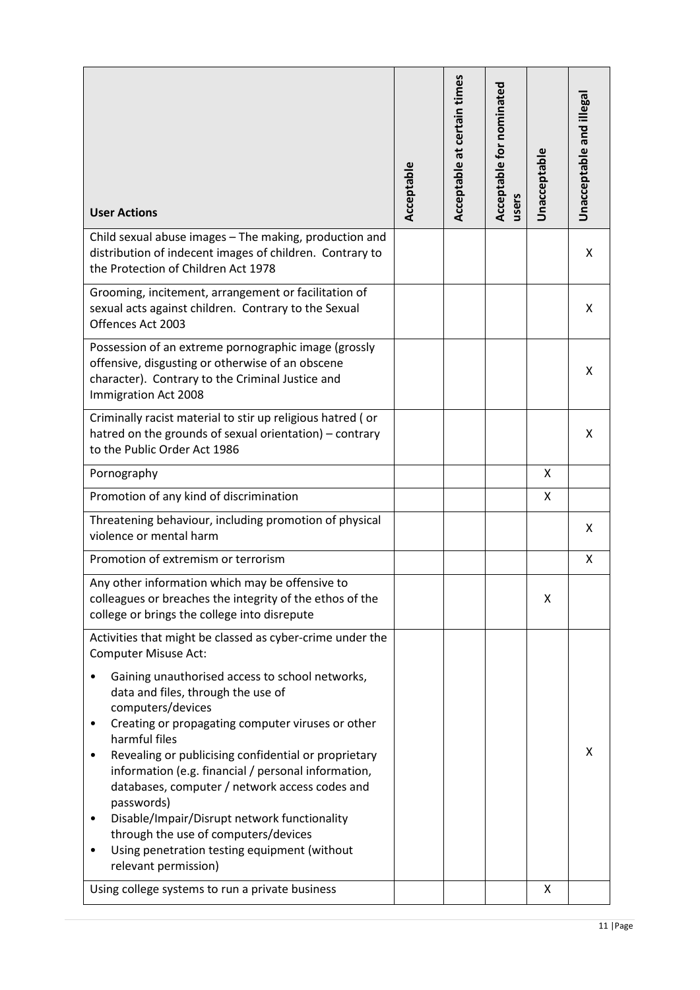| <b>User Actions</b>                                                                                                                                                                                                                                                                                                                                                                                                                                                                                                                                                                                           | Acceptable | Acceptable at certain times | Acceptable for nominated<br>users | <b>Unacceptable</b> | Unacceptable and illegal |
|---------------------------------------------------------------------------------------------------------------------------------------------------------------------------------------------------------------------------------------------------------------------------------------------------------------------------------------------------------------------------------------------------------------------------------------------------------------------------------------------------------------------------------------------------------------------------------------------------------------|------------|-----------------------------|-----------------------------------|---------------------|--------------------------|
| Child sexual abuse images - The making, production and<br>distribution of indecent images of children. Contrary to<br>the Protection of Children Act 1978                                                                                                                                                                                                                                                                                                                                                                                                                                                     |            |                             |                                   |                     | X                        |
| Grooming, incitement, arrangement or facilitation of<br>sexual acts against children. Contrary to the Sexual<br>Offences Act 2003                                                                                                                                                                                                                                                                                                                                                                                                                                                                             |            |                             |                                   |                     | X                        |
| Possession of an extreme pornographic image (grossly<br>offensive, disgusting or otherwise of an obscene<br>character). Contrary to the Criminal Justice and<br>Immigration Act 2008                                                                                                                                                                                                                                                                                                                                                                                                                          |            |                             |                                   |                     | X                        |
| Criminally racist material to stir up religious hatred (or<br>hatred on the grounds of sexual orientation) - contrary<br>to the Public Order Act 1986                                                                                                                                                                                                                                                                                                                                                                                                                                                         |            |                             |                                   |                     | X                        |
| Pornography                                                                                                                                                                                                                                                                                                                                                                                                                                                                                                                                                                                                   |            |                             |                                   | X                   |                          |
| Promotion of any kind of discrimination                                                                                                                                                                                                                                                                                                                                                                                                                                                                                                                                                                       |            |                             |                                   | Χ                   |                          |
| Threatening behaviour, including promotion of physical<br>violence or mental harm                                                                                                                                                                                                                                                                                                                                                                                                                                                                                                                             |            |                             |                                   |                     | X                        |
| Promotion of extremism or terrorism                                                                                                                                                                                                                                                                                                                                                                                                                                                                                                                                                                           |            |                             |                                   |                     | X                        |
| Any other information which may be offensive to<br>colleagues or breaches the integrity of the ethos of the<br>college or brings the college into disrepute                                                                                                                                                                                                                                                                                                                                                                                                                                                   |            |                             |                                   | x                   |                          |
| Activities that might be classed as cyber-crime under the<br><b>Computer Misuse Act:</b><br>Gaining unauthorised access to school networks,<br>data and files, through the use of<br>computers/devices<br>Creating or propagating computer viruses or other<br>٠<br>harmful files<br>Revealing or publicising confidential or proprietary<br>information (e.g. financial / personal information,<br>databases, computer / network access codes and<br>passwords)<br>Disable/Impair/Disrupt network functionality<br>٠<br>through the use of computers/devices<br>Using penetration testing equipment (without |            |                             | X                                 |                     |                          |
| relevant permission)<br>Using college systems to run a private business                                                                                                                                                                                                                                                                                                                                                                                                                                                                                                                                       |            |                             |                                   | X                   |                          |
|                                                                                                                                                                                                                                                                                                                                                                                                                                                                                                                                                                                                               |            |                             |                                   |                     |                          |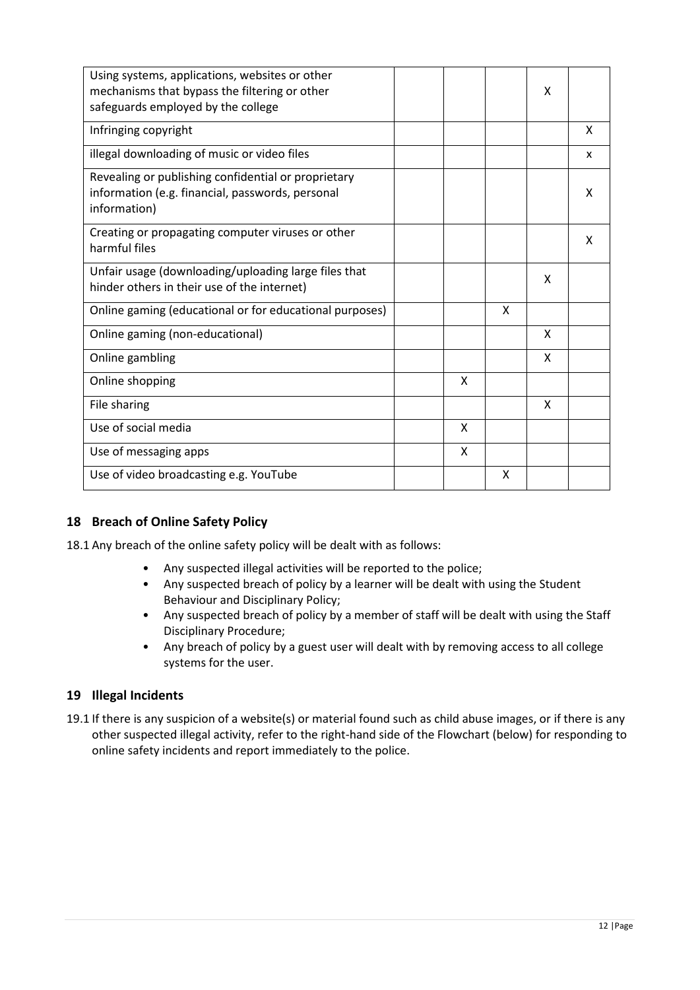| Using systems, applications, websites or other<br>mechanisms that bypass the filtering or other<br>safeguards employed by the college |  |   |   | X |   |
|---------------------------------------------------------------------------------------------------------------------------------------|--|---|---|---|---|
| Infringing copyright                                                                                                                  |  |   |   |   | x |
| illegal downloading of music or video files                                                                                           |  |   |   |   | X |
| Revealing or publishing confidential or proprietary<br>information (e.g. financial, passwords, personal<br>information)               |  |   |   |   | X |
| Creating or propagating computer viruses or other<br>harmful files                                                                    |  |   |   |   | X |
| Unfair usage (downloading/uploading large files that<br>hinder others in their use of the internet)                                   |  |   |   | X |   |
| Online gaming (educational or for educational purposes)                                                                               |  |   | x |   |   |
| Online gaming (non-educational)                                                                                                       |  |   |   | X |   |
| Online gambling                                                                                                                       |  |   |   | X |   |
| Online shopping                                                                                                                       |  | X |   |   |   |
| File sharing                                                                                                                          |  |   |   | Χ |   |
| Use of social media                                                                                                                   |  | X |   |   |   |
| Use of messaging apps                                                                                                                 |  | X |   |   |   |
| Use of video broadcasting e.g. YouTube                                                                                                |  |   | X |   |   |

# **18 Breach of Online Safety Policy**

18.1 Any breach of the online safety policy will be dealt with as follows:

- Any suspected illegal activities will be reported to the police;
- Any suspected breach of policy by a learner will be dealt with using the Student Behaviour and Disciplinary Policy;
- Any suspected breach of policy by a member of staff will be dealt with using the Staff Disciplinary Procedure;
- Any breach of policy by a guest user will dealt with by removing access to all college systems for the user.

# **19 Illegal Incidents**

19.1 If there is any suspicion of a website(s) or material found such as child abuse images, or if there is any other suspected illegal activity, refer to the right-hand side of the Flowchart (below) for responding to online safety incidents and report immediately to the police.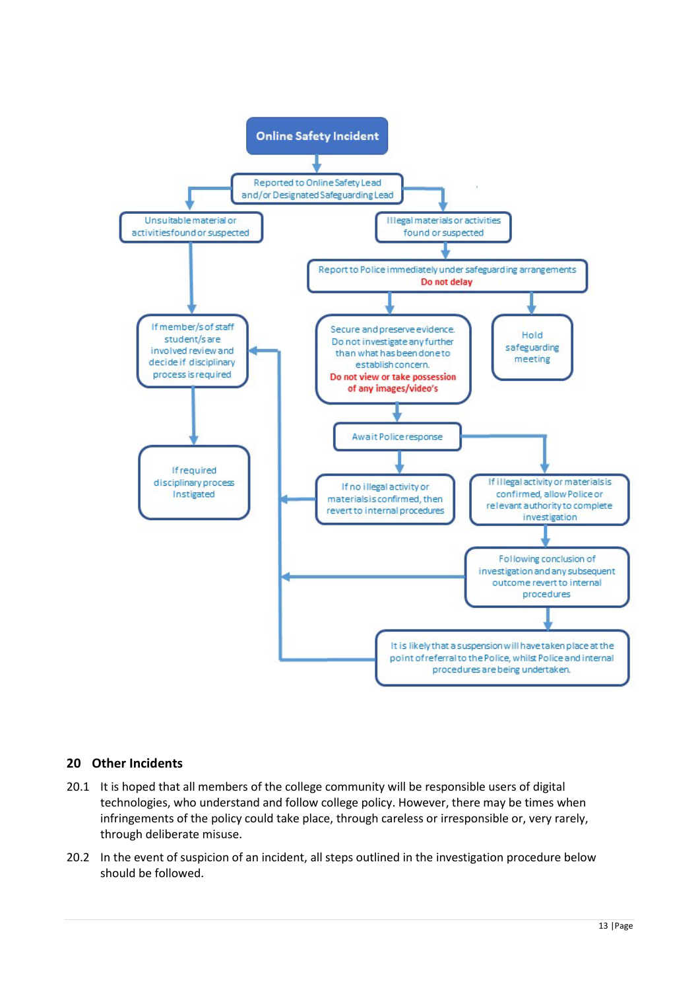

# **20 Other Incidents**

- 20.1 It is hoped that all members of the college community will be responsible users of digital technologies, who understand and follow college policy. However, there may be times when infringements of the policy could take place, through careless or irresponsible or, very rarely, through deliberate misuse.
- 20.2 In the event of suspicion of an incident, all steps outlined in the investigation procedure below should be followed.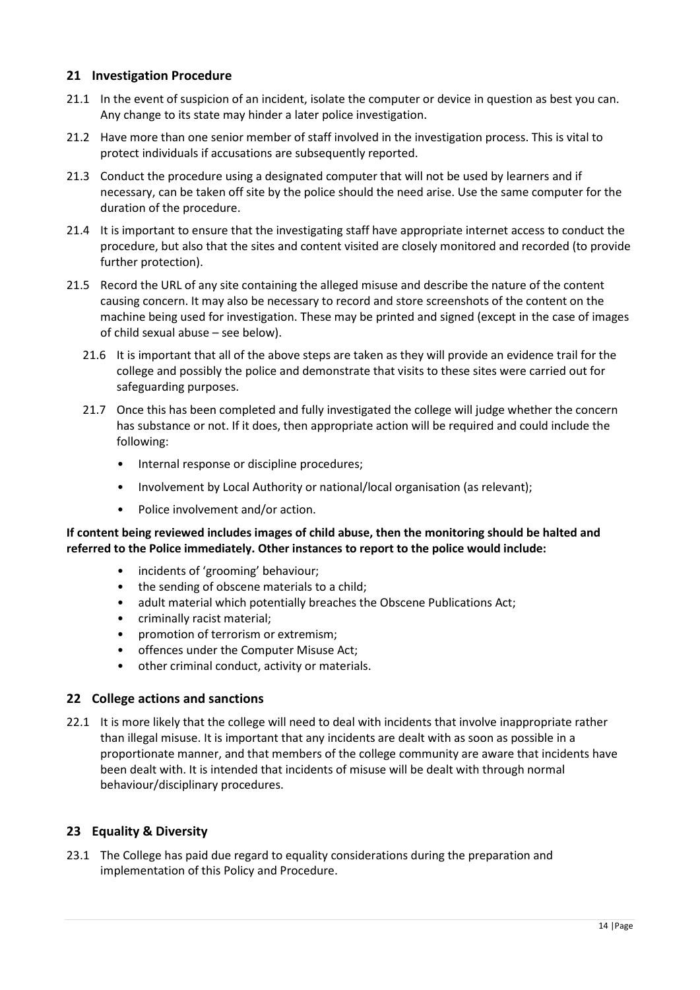# **21 Investigation Procedure**

- 21.1 In the event of suspicion of an incident, isolate the computer or device in question as best you can. Any change to its state may hinder a later police investigation.
- 21.2 Have more than one senior member of staff involved in the investigation process. This is vital to protect individuals if accusations are subsequently reported.
- 21.3 Conduct the procedure using a designated computer that will not be used by learners and if necessary, can be taken off site by the police should the need arise. Use the same computer for the duration of the procedure.
- 21.4 It is important to ensure that the investigating staff have appropriate internet access to conduct the procedure, but also that the sites and content visited are closely monitored and recorded (to provide further protection).
- 21.5 Record the URL of any site containing the alleged misuse and describe the nature of the content causing concern. It may also be necessary to record and store screenshots of the content on the machine being used for investigation. These may be printed and signed (except in the case of images of child sexual abuse – see below).
	- 21.6 It is important that all of the above steps are taken as they will provide an evidence trail for the college and possibly the police and demonstrate that visits to these sites were carried out for safeguarding purposes.
	- 21.7 Once this has been completed and fully investigated the college will judge whether the concern has substance or not. If it does, then appropriate action will be required and could include the following:
		- Internal response or discipline procedures;
		- Involvement by Local Authority or national/local organisation (as relevant);
		- Police involvement and/or action.

#### **If content being reviewed includes images of child abuse, then the monitoring should be halted and referred to the Police immediately. Other instances to report to the police would include:**

- incidents of 'grooming' behaviour;
- the sending of obscene materials to a child;
- adult material which potentially breaches the Obscene Publications Act;
- criminally racist material;
- promotion of terrorism or extremism;
- offences under the Computer Misuse Act;
- other criminal conduct, activity or materials.

#### **22 College actions and sanctions**

22.1 It is more likely that the college will need to deal with incidents that involve inappropriate rather than illegal misuse. It is important that any incidents are dealt with as soon as possible in a proportionate manner, and that members of the college community are aware that incidents have been dealt with. It is intended that incidents of misuse will be dealt with through normal behaviour/disciplinary procedures.

# **23 Equality & Diversity**

23.1 The College has paid due regard to equality considerations during the preparation and implementation of this Policy and Procedure.